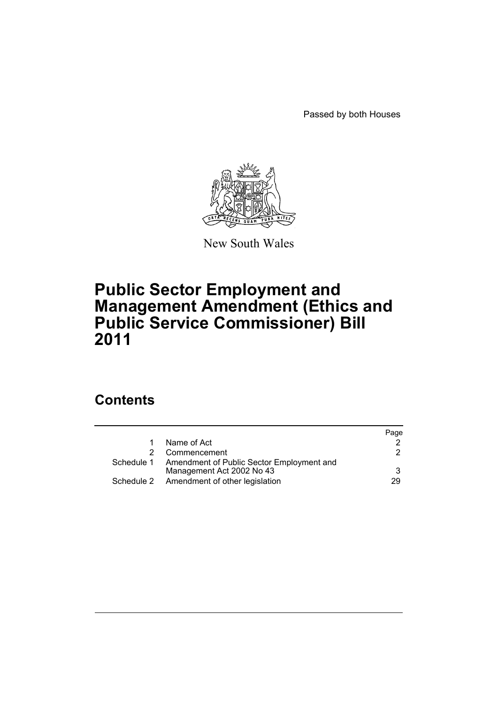Passed by both Houses



New South Wales

# **Public Sector Employment and Management Amendment (Ethics and Public Service Commissioner) Bill 2011**

## **Contents**

|            |                                           | Page |
|------------|-------------------------------------------|------|
|            | Name of Act                               |      |
|            | Commencement                              | 2.   |
| Schedule 1 | Amendment of Public Sector Employment and |      |
|            | Management Act 2002 No 43                 | 3    |
|            | Schedule 2 Amendment of other legislation | 29   |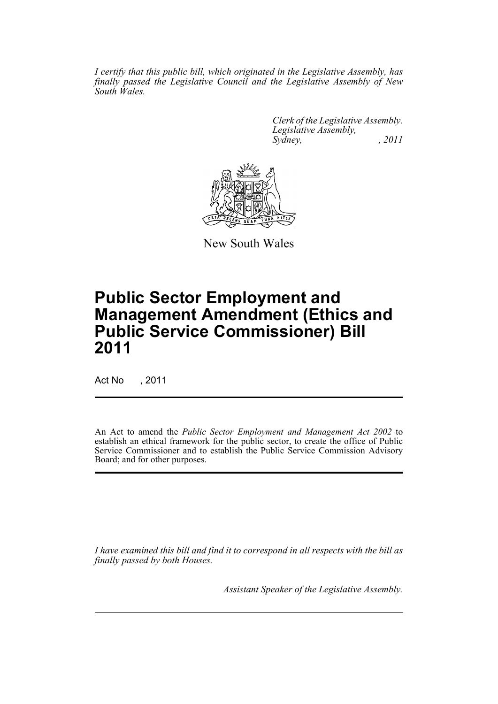*I certify that this public bill, which originated in the Legislative Assembly, has finally passed the Legislative Council and the Legislative Assembly of New South Wales.*

> *Clerk of the Legislative Assembly. Legislative Assembly, Sydney, , 2011*



New South Wales

# **Public Sector Employment and Management Amendment (Ethics and Public Service Commissioner) Bill 2011**

Act No , 2011

An Act to amend the *Public Sector Employment and Management Act 2002* to establish an ethical framework for the public sector, to create the office of Public Service Commissioner and to establish the Public Service Commission Advisory Board; and for other purposes.

*I have examined this bill and find it to correspond in all respects with the bill as finally passed by both Houses.*

*Assistant Speaker of the Legislative Assembly.*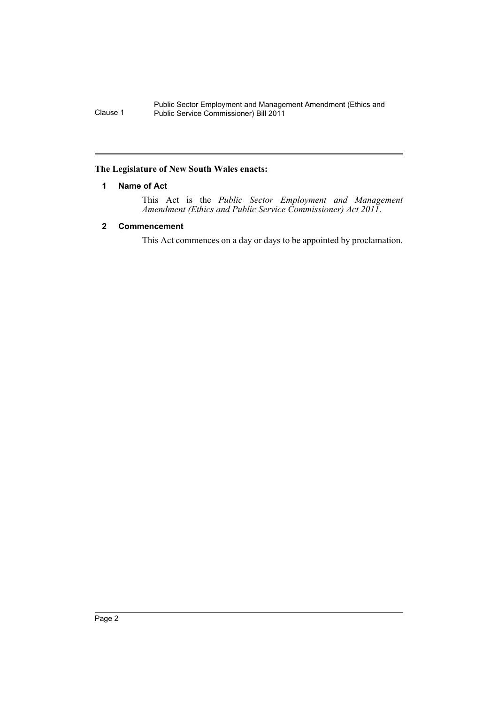### <span id="page-2-0"></span>**The Legislature of New South Wales enacts:**

### **1 Name of Act**

This Act is the *Public Sector Employment and Management Amendment (Ethics and Public Service Commissioner) Act 2011*.

### <span id="page-2-1"></span>**2 Commencement**

This Act commences on a day or days to be appointed by proclamation.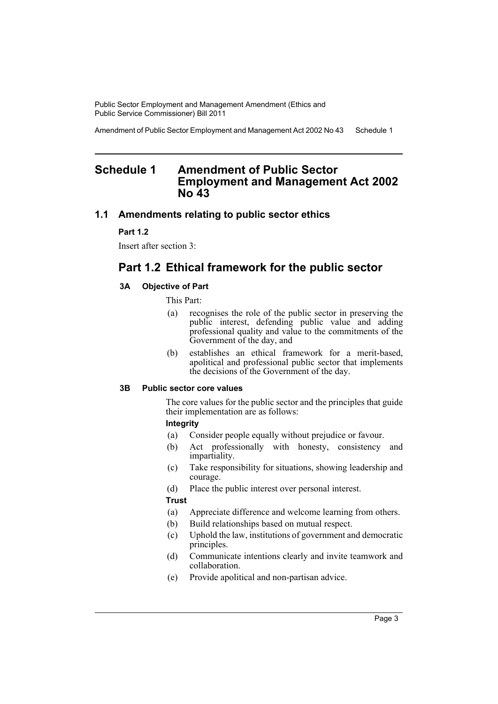Amendment of Public Sector Employment and Management Act 2002 No 43 Schedule 1

## <span id="page-3-0"></span>**Schedule 1 Amendment of Public Sector Employment and Management Act 2002 No 43**

### **1.1 Amendments relating to public sector ethics**

### **Part 1.2**

Insert after section 3:

## **Part 1.2 Ethical framework for the public sector**

### **3A Objective of Part**

This Part:

- (a) recognises the role of the public sector in preserving the public interest, defending public value and adding professional quality and value to the commitments of the Government of the day, and
- (b) establishes an ethical framework for a merit-based, apolitical and professional public sector that implements the decisions of the Government of the day.

### **3B Public sector core values**

The core values for the public sector and the principles that guide their implementation are as follows:

### **Integrity**

- (a) Consider people equally without prejudice or favour.
- (b) Act professionally with honesty, consistency and impartiality.
- (c) Take responsibility for situations, showing leadership and courage.
- (d) Place the public interest over personal interest.

### **Trust**

- (a) Appreciate difference and welcome learning from others.
- (b) Build relationships based on mutual respect.
- (c) Uphold the law, institutions of government and democratic principles.
- (d) Communicate intentions clearly and invite teamwork and collaboration.
- (e) Provide apolitical and non-partisan advice.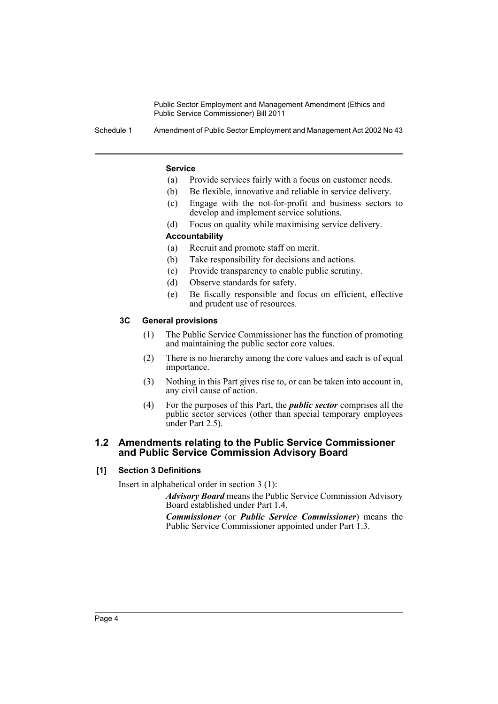Schedule 1 Amendment of Public Sector Employment and Management Act 2002 No 43

### **Service**

- (a) Provide services fairly with a focus on customer needs.
- (b) Be flexible, innovative and reliable in service delivery.
- (c) Engage with the not-for-profit and business sectors to develop and implement service solutions.
- (d) Focus on quality while maximising service delivery.

### **Accountability**

- (a) Recruit and promote staff on merit.
- (b) Take responsibility for decisions and actions.
- (c) Provide transparency to enable public scrutiny.
- (d) Observe standards for safety.
- (e) Be fiscally responsible and focus on efficient, effective and prudent use of resources.

### **3C General provisions**

- (1) The Public Service Commissioner has the function of promoting and maintaining the public sector core values.
- (2) There is no hierarchy among the core values and each is of equal importance.
- (3) Nothing in this Part gives rise to, or can be taken into account in, any civil cause of action.
- (4) For the purposes of this Part, the *public sector* comprises all the public sector services (other than special temporary employees under Part 2.5).

### **1.2 Amendments relating to the Public Service Commissioner and Public Service Commission Advisory Board**

### **[1] Section 3 Definitions**

Insert in alphabetical order in section 3 (1):

*Advisory Board* means the Public Service Commission Advisory Board established under Part 1.4.

*Commissioner* (or *Public Service Commissioner*) means the Public Service Commissioner appointed under Part 1.3.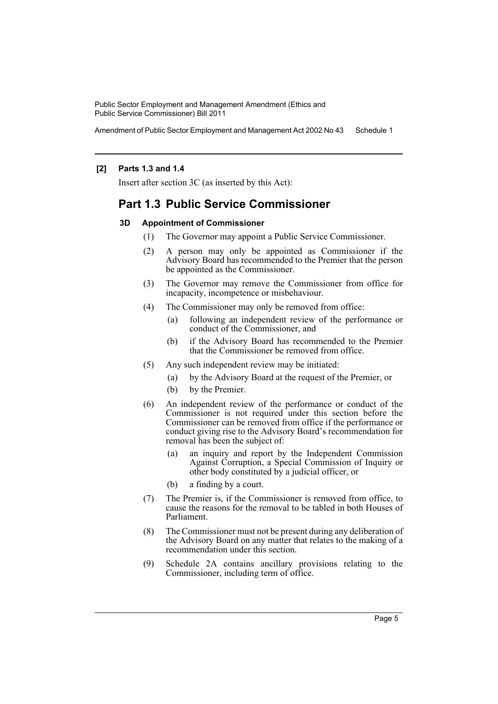Amendment of Public Sector Employment and Management Act 2002 No 43 Schedule 1

### **[2] Parts 1.3 and 1.4**

Insert after section 3C (as inserted by this Act):

## **Part 1.3 Public Service Commissioner**

### **3D Appointment of Commissioner**

- (1) The Governor may appoint a Public Service Commissioner.
- (2) A person may only be appointed as Commissioner if the Advisory Board has recommended to the Premier that the person be appointed as the Commissioner.
- (3) The Governor may remove the Commissioner from office for incapacity, incompetence or misbehaviour.
- (4) The Commissioner may only be removed from office:
	- (a) following an independent review of the performance or conduct of the Commissioner, and
	- (b) if the Advisory Board has recommended to the Premier that the Commissioner be removed from office.
- (5) Any such independent review may be initiated:
	- (a) by the Advisory Board at the request of the Premier, or
	- (b) by the Premier.
- (6) An independent review of the performance or conduct of the Commissioner is not required under this section before the Commissioner can be removed from office if the performance or conduct giving rise to the Advisory Board's recommendation for removal has been the subject of:
	- (a) an inquiry and report by the Independent Commission Against Corruption, a Special Commission of Inquiry or other body constituted by a judicial officer, or
	- (b) a finding by a court.
- (7) The Premier is, if the Commissioner is removed from office, to cause the reasons for the removal to be tabled in both Houses of Parliament.
- (8) The Commissioner must not be present during any deliberation of the Advisory Board on any matter that relates to the making of a recommendation under this section.
- (9) Schedule 2A contains ancillary provisions relating to the Commissioner, including term of office.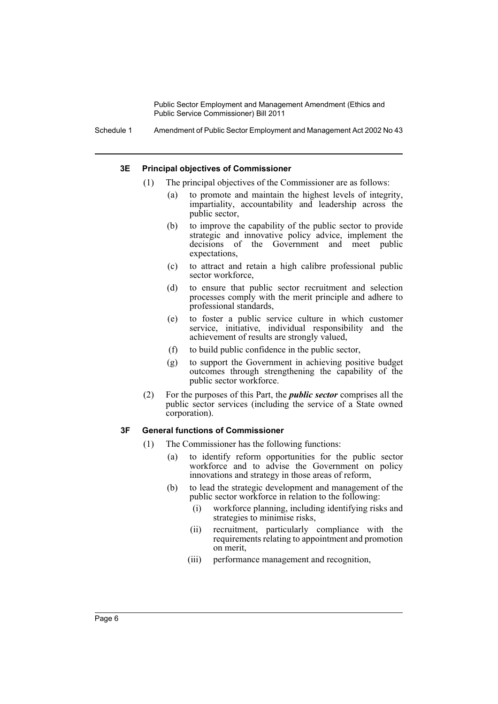Schedule 1 Amendment of Public Sector Employment and Management Act 2002 No 43

### **3E Principal objectives of Commissioner**

- (1) The principal objectives of the Commissioner are as follows:
	- (a) to promote and maintain the highest levels of integrity, impartiality, accountability and leadership across the public sector,
	- (b) to improve the capability of the public sector to provide strategic and innovative policy advice, implement the decisions of the Government and meet public expectations,
	- (c) to attract and retain a high calibre professional public sector workforce,
	- (d) to ensure that public sector recruitment and selection processes comply with the merit principle and adhere to professional standards,
	- (e) to foster a public service culture in which customer service, initiative, individual responsibility and the achievement of results are strongly valued,
	- (f) to build public confidence in the public sector,
	- (g) to support the Government in achieving positive budget outcomes through strengthening the capability of the public sector workforce.
- (2) For the purposes of this Part, the *public sector* comprises all the public sector services (including the service of a State owned corporation).

### **3F General functions of Commissioner**

- (1) The Commissioner has the following functions:
	- (a) to identify reform opportunities for the public sector workforce and to advise the Government on policy innovations and strategy in those areas of reform,
	- (b) to lead the strategic development and management of the public sector workforce in relation to the following:
		- (i) workforce planning, including identifying risks and strategies to minimise risks,
		- (ii) recruitment, particularly compliance with the requirements relating to appointment and promotion on merit,
		- (iii) performance management and recognition,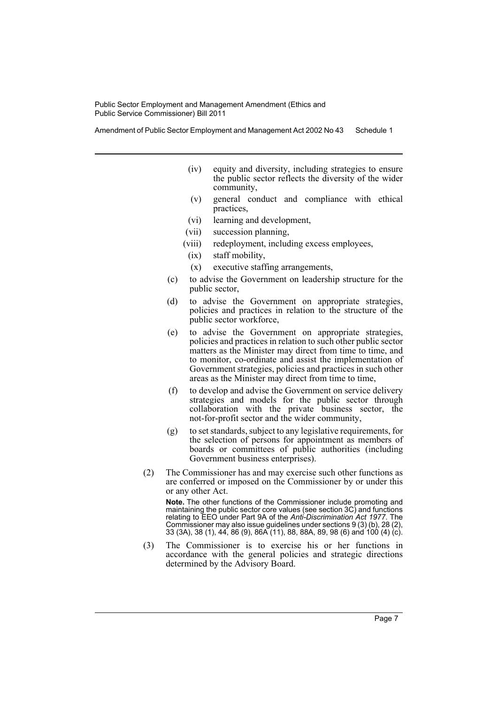Amendment of Public Sector Employment and Management Act 2002 No 43 Schedule 1

- (iv) equity and diversity, including strategies to ensure the public sector reflects the diversity of the wider community,
- (v) general conduct and compliance with ethical practices,
- (vi) learning and development,
- (vii) succession planning,
- (viii) redeployment, including excess employees,
- (ix) staff mobility,
- (x) executive staffing arrangements,
- (c) to advise the Government on leadership structure for the public sector,
- (d) to advise the Government on appropriate strategies, policies and practices in relation to the structure of the public sector workforce,
- (e) to advise the Government on appropriate strategies, policies and practices in relation to such other public sector matters as the Minister may direct from time to time, and to monitor, co-ordinate and assist the implementation of Government strategies, policies and practices in such other areas as the Minister may direct from time to time,
- (f) to develop and advise the Government on service delivery strategies and models for the public sector through collaboration with the private business sector, the not-for-profit sector and the wider community,
- (g) to set standards, subject to any legislative requirements, for the selection of persons for appointment as members of boards or committees of public authorities (including Government business enterprises).
- (2) The Commissioner has and may exercise such other functions as are conferred or imposed on the Commissioner by or under this or any other Act.

**Note.** The other functions of the Commissioner include promoting and maintaining the public sector core values (see section 3C) and functions relating to EEO under Part 9A of the *Anti-Discrimination Act 1977*. The Commissioner may also issue guidelines under sections 9 (3) (b), 28 (2), 33 (3A), 38 (1), 44, 86 (9), 86A (11), 88, 88A, 89, 98 (6) and 100 (4) (c).

(3) The Commissioner is to exercise his or her functions in accordance with the general policies and strategic directions determined by the Advisory Board.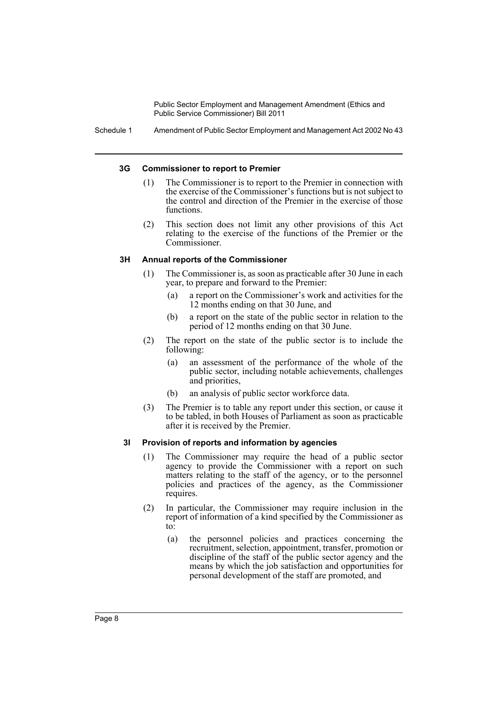Schedule 1 Amendment of Public Sector Employment and Management Act 2002 No 43

### **3G Commissioner to report to Premier**

- (1) The Commissioner is to report to the Premier in connection with the exercise of the Commissioner's functions but is not subject to the control and direction of the Premier in the exercise of those functions.
- (2) This section does not limit any other provisions of this Act relating to the exercise of the functions of the Premier or the Commissioner.

### **3H Annual reports of the Commissioner**

- (1) The Commissioner is, as soon as practicable after 30 June in each year, to prepare and forward to the Premier:
	- (a) a report on the Commissioner's work and activities for the 12 months ending on that 30 June, and
	- (b) a report on the state of the public sector in relation to the period of 12 months ending on that 30 June.
- (2) The report on the state of the public sector is to include the following:
	- (a) an assessment of the performance of the whole of the public sector, including notable achievements, challenges and priorities,
	- (b) an analysis of public sector workforce data.
- (3) The Premier is to table any report under this section, or cause it to be tabled, in both Houses of Parliament as soon as practicable after it is received by the Premier.

### **3I Provision of reports and information by agencies**

- (1) The Commissioner may require the head of a public sector agency to provide the Commissioner with a report on such matters relating to the staff of the agency, or to the personnel policies and practices of the agency, as the Commissioner requires.
- (2) In particular, the Commissioner may require inclusion in the report of information of a kind specified by the Commissioner as to:
	- (a) the personnel policies and practices concerning the recruitment, selection, appointment, transfer, promotion or discipline of the staff of the public sector agency and the means by which the job satisfaction and opportunities for personal development of the staff are promoted, and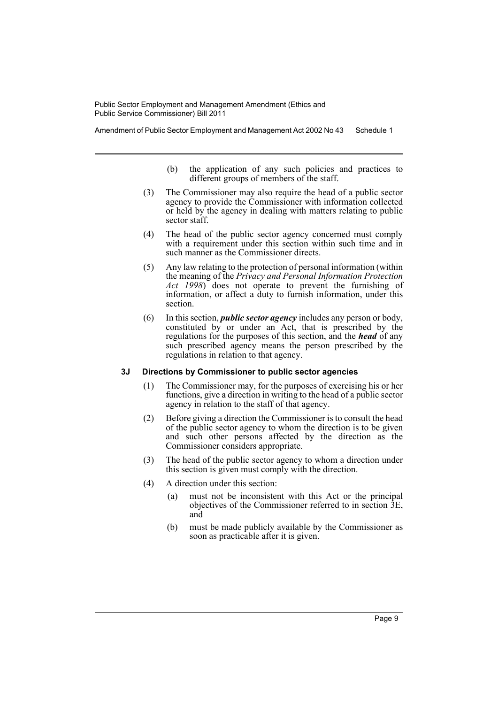Amendment of Public Sector Employment and Management Act 2002 No 43 Schedule 1

- (b) the application of any such policies and practices to different groups of members of the staff.
- (3) The Commissioner may also require the head of a public sector agency to provide the Commissioner with information collected or held by the agency in dealing with matters relating to public sector staff.
- (4) The head of the public sector agency concerned must comply with a requirement under this section within such time and in such manner as the Commissioner directs.
- (5) Any law relating to the protection of personal information (within the meaning of the *Privacy and Personal Information Protection Act 1998*) does not operate to prevent the furnishing of information, or affect a duty to furnish information, under this section.
- (6) In this section, *public sector agency* includes any person or body, constituted by or under an Act, that is prescribed by the regulations for the purposes of this section, and the *head* of any such prescribed agency means the person prescribed by the regulations in relation to that agency.

### **3J Directions by Commissioner to public sector agencies**

- (1) The Commissioner may, for the purposes of exercising his or her functions, give a direction in writing to the head of a public sector agency in relation to the staff of that agency.
- (2) Before giving a direction the Commissioner is to consult the head of the public sector agency to whom the direction is to be given and such other persons affected by the direction as the Commissioner considers appropriate.
- (3) The head of the public sector agency to whom a direction under this section is given must comply with the direction.
- (4) A direction under this section:
	- (a) must not be inconsistent with this Act or the principal objectives of the Commissioner referred to in section 3E, and
	- (b) must be made publicly available by the Commissioner as soon as practicable after it is given.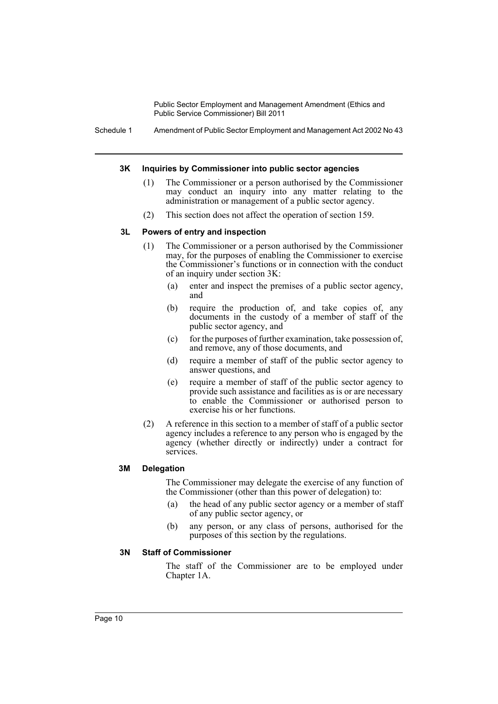Schedule 1 Amendment of Public Sector Employment and Management Act 2002 No 43

### **3K Inquiries by Commissioner into public sector agencies**

- (1) The Commissioner or a person authorised by the Commissioner may conduct an inquiry into any matter relating to the administration or management of a public sector agency.
- (2) This section does not affect the operation of section 159.

### **3L Powers of entry and inspection**

- (1) The Commissioner or a person authorised by the Commissioner may, for the purposes of enabling the Commissioner to exercise the Commissioner's functions or in connection with the conduct of an inquiry under section 3K:
	- (a) enter and inspect the premises of a public sector agency, and
	- (b) require the production of, and take copies of, any documents in the custody of a member of staff of the public sector agency, and
	- (c) for the purposes of further examination, take possession of, and remove, any of those documents, and
	- (d) require a member of staff of the public sector agency to answer questions, and
	- (e) require a member of staff of the public sector agency to provide such assistance and facilities as is or are necessary to enable the Commissioner or authorised person to exercise his or her functions.
- (2) A reference in this section to a member of staff of a public sector agency includes a reference to any person who is engaged by the agency (whether directly or indirectly) under a contract for services.

### **3M Delegation**

The Commissioner may delegate the exercise of any function of the Commissioner (other than this power of delegation) to:

- (a) the head of any public sector agency or a member of staff of any public sector agency, or
- (b) any person, or any class of persons, authorised for the purposes of this section by the regulations.

### **3N Staff of Commissioner**

The staff of the Commissioner are to be employed under Chapter 1A.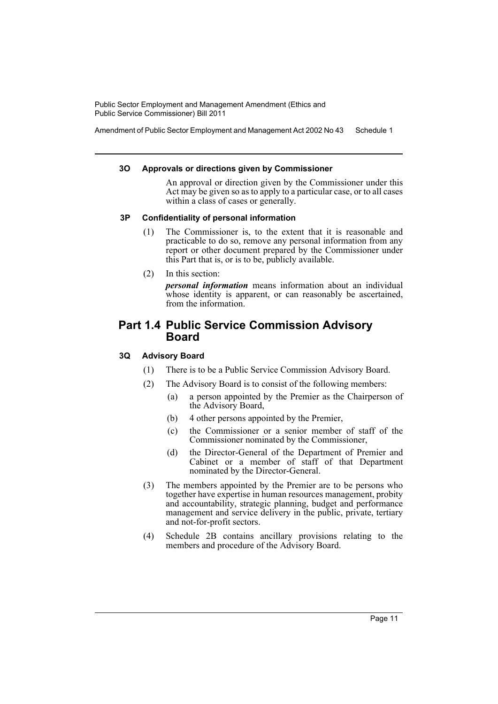Amendment of Public Sector Employment and Management Act 2002 No 43 Schedule 1

### **3O Approvals or directions given by Commissioner**

An approval or direction given by the Commissioner under this Act may be given so as to apply to a particular case, or to all cases within a class of cases or generally.

### **3P Confidentiality of personal information**

- (1) The Commissioner is, to the extent that it is reasonable and practicable to do so, remove any personal information from any report or other document prepared by the Commissioner under this Part that is, or is to be, publicly available.
- (2) In this section:

*personal information* means information about an individual whose identity is apparent, or can reasonably be ascertained, from the information.

## **Part 1.4 Public Service Commission Advisory Board**

### **3Q Advisory Board**

- (1) There is to be a Public Service Commission Advisory Board.
- (2) The Advisory Board is to consist of the following members:
	- (a) a person appointed by the Premier as the Chairperson of the Advisory Board,
	- (b) 4 other persons appointed by the Premier,
	- (c) the Commissioner or a senior member of staff of the Commissioner nominated by the Commissioner,
	- (d) the Director-General of the Department of Premier and Cabinet or a member of staff of that Department nominated by the Director-General.
- (3) The members appointed by the Premier are to be persons who together have expertise in human resources management, probity and accountability, strategic planning, budget and performance management and service delivery in the public, private, tertiary and not-for-profit sectors.
- (4) Schedule 2B contains ancillary provisions relating to the members and procedure of the Advisory Board.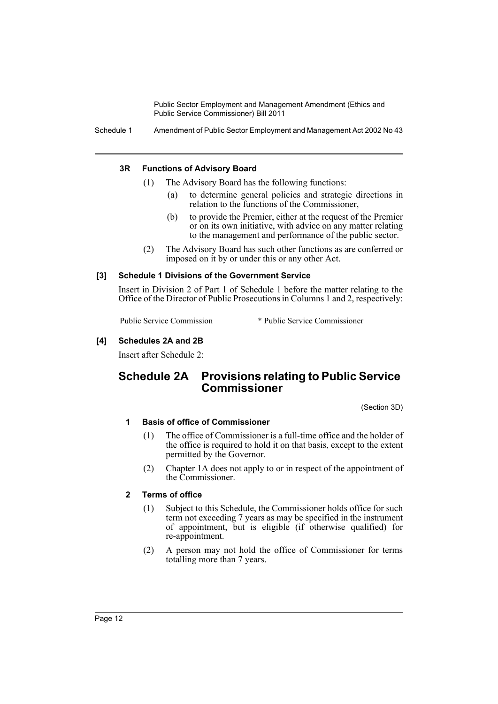Schedule 1 Amendment of Public Sector Employment and Management Act 2002 No 43

### **3R Functions of Advisory Board**

- (1) The Advisory Board has the following functions:
	- (a) to determine general policies and strategic directions in relation to the functions of the Commissioner,
	- (b) to provide the Premier, either at the request of the Premier or on its own initiative, with advice on any matter relating to the management and performance of the public sector.
- (2) The Advisory Board has such other functions as are conferred or imposed on it by or under this or any other Act.

### **[3] Schedule 1 Divisions of the Government Service**

Insert in Division 2 of Part 1 of Schedule 1 before the matter relating to the Office of the Director of Public Prosecutions in Columns 1 and 2, respectively:

Public Service Commission \* Public Service Commissioner

### **[4] Schedules 2A and 2B**

Insert after Schedule 2:

## **Schedule 2A Provisions relating to Public Service Commissioner**

(Section 3D)

### **1 Basis of office of Commissioner**

- (1) The office of Commissioner is a full-time office and the holder of the office is required to hold it on that basis, except to the extent permitted by the Governor.
- (2) Chapter 1A does not apply to or in respect of the appointment of the Commissioner.

### **2 Terms of office**

- (1) Subject to this Schedule, the Commissioner holds office for such term not exceeding 7 years as may be specified in the instrument of appointment, but is eligible (if otherwise qualified) for re-appointment.
- (2) A person may not hold the office of Commissioner for terms totalling more than 7 years.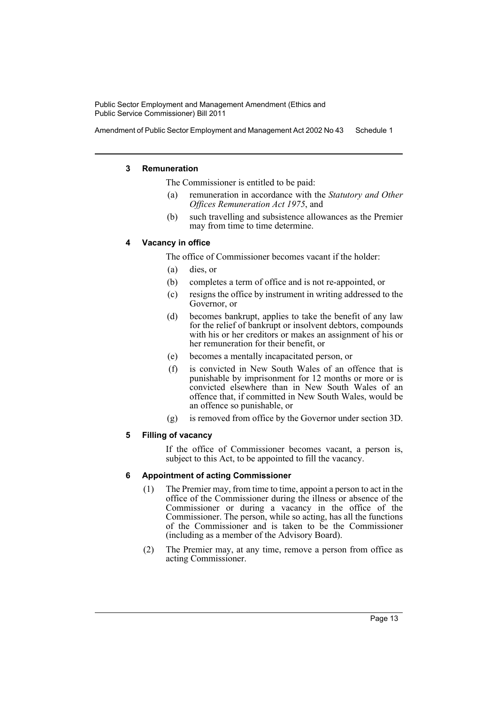Amendment of Public Sector Employment and Management Act 2002 No 43 Schedule 1

### **3 Remuneration**

The Commissioner is entitled to be paid:

- (a) remuneration in accordance with the *Statutory and Other Offices Remuneration Act 1975*, and
- (b) such travelling and subsistence allowances as the Premier may from time to time determine.

### **4 Vacancy in office**

The office of Commissioner becomes vacant if the holder:

- (a) dies, or
- (b) completes a term of office and is not re-appointed, or
- (c) resigns the office by instrument in writing addressed to the Governor, or
- (d) becomes bankrupt, applies to take the benefit of any law for the relief of bankrupt or insolvent debtors, compounds with his or her creditors or makes an assignment of his or her remuneration for their benefit, or
- (e) becomes a mentally incapacitated person, or
- (f) is convicted in New South Wales of an offence that is punishable by imprisonment for 12 months or more or is convicted elsewhere than in New South Wales of an offence that, if committed in New South Wales, would be an offence so punishable, or
- (g) is removed from office by the Governor under section 3D.

### **5 Filling of vacancy**

If the office of Commissioner becomes vacant, a person is, subject to this Act, to be appointed to fill the vacancy.

### **6 Appointment of acting Commissioner**

- (1) The Premier may, from time to time, appoint a person to act in the office of the Commissioner during the illness or absence of the Commissioner or during a vacancy in the office of the Commissioner. The person, while so acting, has all the functions of the Commissioner and is taken to be the Commissioner (including as a member of the Advisory Board).
- (2) The Premier may, at any time, remove a person from office as acting Commissioner.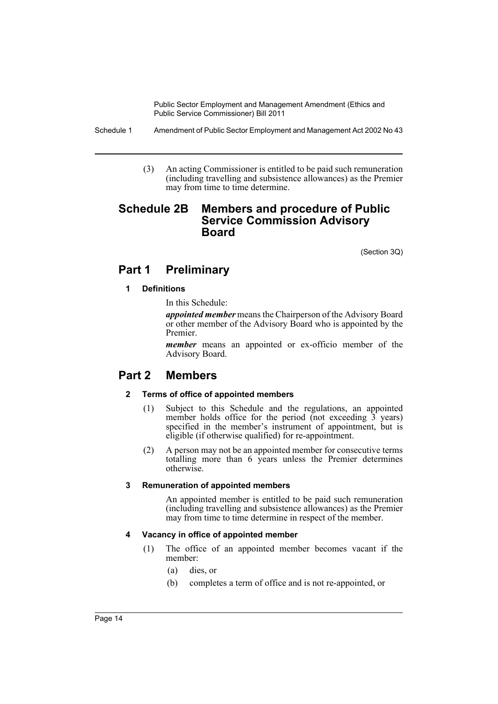Schedule 1 Amendment of Public Sector Employment and Management Act 2002 No 43

(3) An acting Commissioner is entitled to be paid such remuneration (including travelling and subsistence allowances) as the Premier may from time to time determine.

## **Schedule 2B Members and procedure of Public Service Commission Advisory Board**

(Section 3Q)

## **Part 1 Preliminary**

### **1 Definitions**

In this Schedule:

*appointed member* means the Chairperson of the Advisory Board or other member of the Advisory Board who is appointed by the Premier.

*member* means an appointed or ex-officio member of the Advisory Board.

## **Part 2 Members**

### **2 Terms of office of appointed members**

- (1) Subject to this Schedule and the regulations, an appointed member holds office for the period (not exceeding 3 years) specified in the member's instrument of appointment, but is eligible (if otherwise qualified) for re-appointment.
- (2) A person may not be an appointed member for consecutive terms totalling more than 6 years unless the Premier determines otherwise.

### **3 Remuneration of appointed members**

An appointed member is entitled to be paid such remuneration (including travelling and subsistence allowances) as the Premier may from time to time determine in respect of the member.

### **4 Vacancy in office of appointed member**

- (1) The office of an appointed member becomes vacant if the member:
	- (a) dies, or
	- (b) completes a term of office and is not re-appointed, or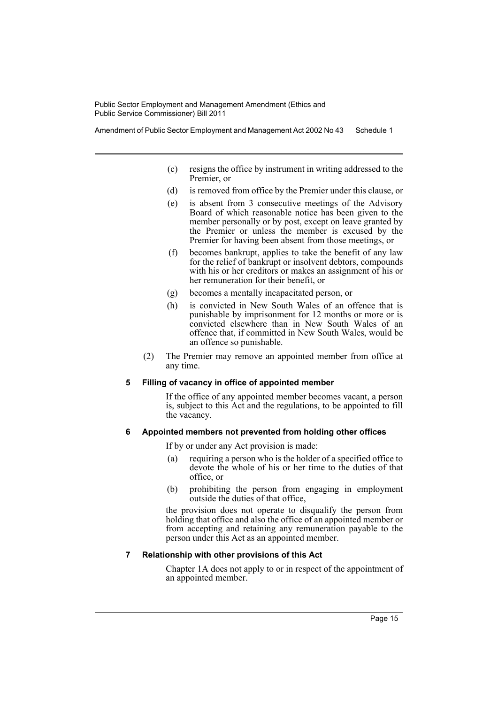Amendment of Public Sector Employment and Management Act 2002 No 43 Schedule 1

- (c) resigns the office by instrument in writing addressed to the Premier, or
- (d) is removed from office by the Premier under this clause, or
- (e) is absent from 3 consecutive meetings of the Advisory Board of which reasonable notice has been given to the member personally or by post, except on leave granted by the Premier or unless the member is excused by the Premier for having been absent from those meetings, or
- (f) becomes bankrupt, applies to take the benefit of any law for the relief of bankrupt or insolvent debtors, compounds with his or her creditors or makes an assignment of his or her remuneration for their benefit, or
- (g) becomes a mentally incapacitated person, or
- (h) is convicted in New South Wales of an offence that is punishable by imprisonment for 12 months or more or is convicted elsewhere than in New South Wales of an offence that, if committed in New South Wales, would be an offence so punishable.
- (2) The Premier may remove an appointed member from office at any time.

### **5 Filling of vacancy in office of appointed member**

If the office of any appointed member becomes vacant, a person is, subject to this Act and the regulations, to be appointed to fill the vacancy.

### **6 Appointed members not prevented from holding other offices**

If by or under any Act provision is made:

- (a) requiring a person who is the holder of a specified office to devote the whole of his or her time to the duties of that office, or
- (b) prohibiting the person from engaging in employment outside the duties of that office,

the provision does not operate to disqualify the person from holding that office and also the office of an appointed member or from accepting and retaining any remuneration payable to the person under this Act as an appointed member.

### **7 Relationship with other provisions of this Act**

Chapter 1A does not apply to or in respect of the appointment of an appointed member.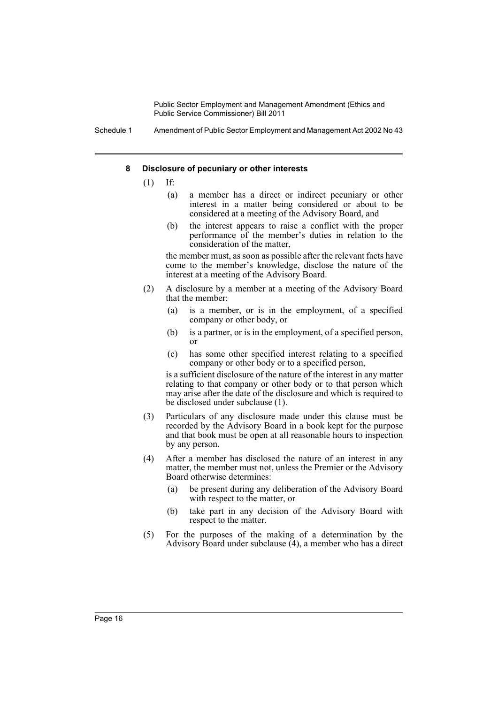Schedule 1 Amendment of Public Sector Employment and Management Act 2002 No 43

### **8 Disclosure of pecuniary or other interests**

- $(1)$  If:
	- (a) a member has a direct or indirect pecuniary or other interest in a matter being considered or about to be considered at a meeting of the Advisory Board, and
	- (b) the interest appears to raise a conflict with the proper performance of the member's duties in relation to the consideration of the matter,

the member must, as soon as possible after the relevant facts have come to the member's knowledge, disclose the nature of the interest at a meeting of the Advisory Board.

- (2) A disclosure by a member at a meeting of the Advisory Board that the member:
	- (a) is a member, or is in the employment, of a specified company or other body, or
	- (b) is a partner, or is in the employment, of a specified person, or
	- (c) has some other specified interest relating to a specified company or other body or to a specified person,

is a sufficient disclosure of the nature of the interest in any matter relating to that company or other body or to that person which may arise after the date of the disclosure and which is required to be disclosed under subclause (1).

- (3) Particulars of any disclosure made under this clause must be recorded by the Advisory Board in a book kept for the purpose and that book must be open at all reasonable hours to inspection by any person.
- (4) After a member has disclosed the nature of an interest in any matter, the member must not, unless the Premier or the Advisory Board otherwise determines:
	- (a) be present during any deliberation of the Advisory Board with respect to the matter, or
	- (b) take part in any decision of the Advisory Board with respect to the matter.
- (5) For the purposes of the making of a determination by the Advisory Board under subclause  $(4)$ , a member who has a direct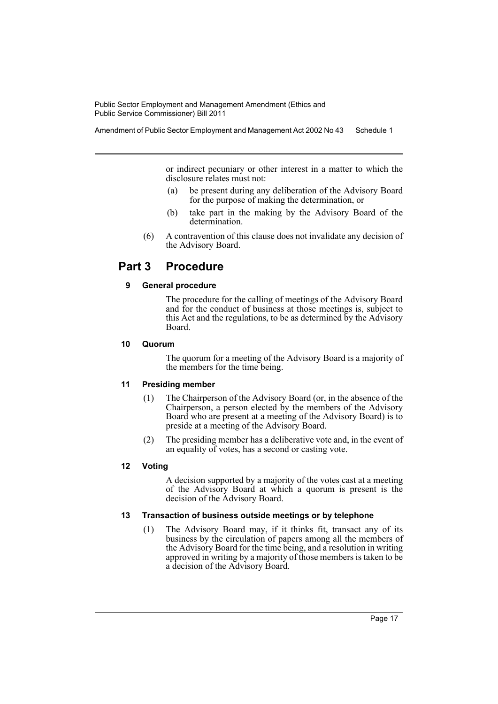Amendment of Public Sector Employment and Management Act 2002 No 43 Schedule 1

or indirect pecuniary or other interest in a matter to which the disclosure relates must not:

- (a) be present during any deliberation of the Advisory Board for the purpose of making the determination, or
- (b) take part in the making by the Advisory Board of the determination.
- (6) A contravention of this clause does not invalidate any decision of the Advisory Board.

## **Part 3 Procedure**

### **9 General procedure**

The procedure for the calling of meetings of the Advisory Board and for the conduct of business at those meetings is, subject to this Act and the regulations, to be as determined by the Advisory Board.

### **10 Quorum**

The quorum for a meeting of the Advisory Board is a majority of the members for the time being.

### **11 Presiding member**

- (1) The Chairperson of the Advisory Board (or, in the absence of the Chairperson, a person elected by the members of the Advisory Board who are present at a meeting of the Advisory Board) is to preside at a meeting of the Advisory Board.
- (2) The presiding member has a deliberative vote and, in the event of an equality of votes, has a second or casting vote.

### **12 Voting**

A decision supported by a majority of the votes cast at a meeting of the Advisory Board at which a quorum is present is the decision of the Advisory Board.

### **13 Transaction of business outside meetings or by telephone**

(1) The Advisory Board may, if it thinks fit, transact any of its business by the circulation of papers among all the members of the Advisory Board for the time being, and a resolution in writing approved in writing by a majority of those members is taken to be a decision of the Advisory Board.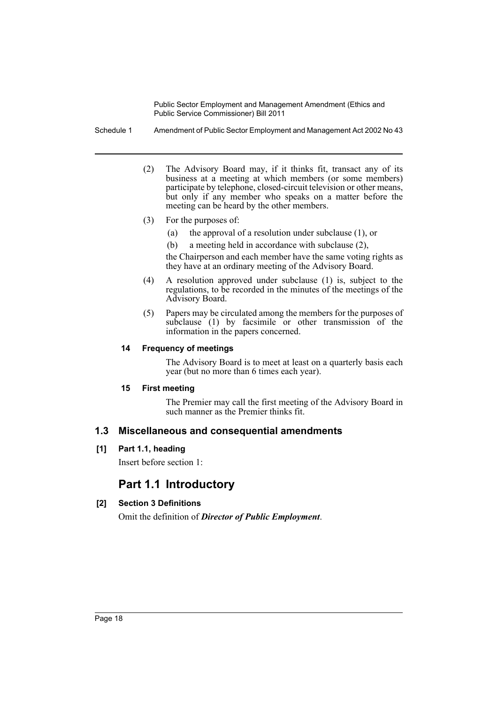Schedule 1 Amendment of Public Sector Employment and Management Act 2002 No 43

- (2) The Advisory Board may, if it thinks fit, transact any of its business at a meeting at which members (or some members) participate by telephone, closed-circuit television or other means, but only if any member who speaks on a matter before the meeting can be heard by the other members.
- (3) For the purposes of:
	- (a) the approval of a resolution under subclause (1), or
	- (b) a meeting held in accordance with subclause (2),

the Chairperson and each member have the same voting rights as they have at an ordinary meeting of the Advisory Board.

- (4) A resolution approved under subclause (1) is, subject to the regulations, to be recorded in the minutes of the meetings of the Advisory Board.
- (5) Papers may be circulated among the members for the purposes of subclause (1) by facsimile or other transmission of the information in the papers concerned.

### **14 Frequency of meetings**

The Advisory Board is to meet at least on a quarterly basis each year (but no more than 6 times each year).

### **15 First meeting**

The Premier may call the first meeting of the Advisory Board in such manner as the Premier thinks fit.

### **1.3 Miscellaneous and consequential amendments**

### **[1] Part 1.1, heading**

Insert before section 1:

## **Part 1.1 Introductory**

### **[2] Section 3 Definitions**

Omit the definition of *Director of Public Employment*.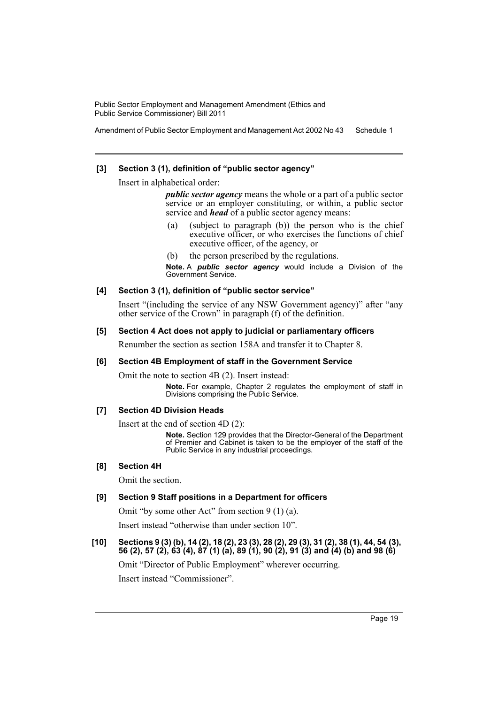Amendment of Public Sector Employment and Management Act 2002 No 43 Schedule 1

### **[3] Section 3 (1), definition of "public sector agency"**

Insert in alphabetical order:

*public sector agency* means the whole or a part of a public sector service or an employer constituting, or within, a public sector service and *head* of a public sector agency means:

- (a) (subject to paragraph (b)) the person who is the chief executive officer, or who exercises the functions of chief executive officer, of the agency, or
- (b) the person prescribed by the regulations.

**Note.** A *public sector agency* would include a Division of the Government Service.

### **[4] Section 3 (1), definition of "public sector service"**

Insert "(including the service of any NSW Government agency)" after "any other service of the Crown" in paragraph (f) of the definition.

### **[5] Section 4 Act does not apply to judicial or parliamentary officers**

Renumber the section as section 158A and transfer it to Chapter 8.

### **[6] Section 4B Employment of staff in the Government Service**

Omit the note to section 4B (2). Insert instead:

**Note.** For example, Chapter 2 regulates the employment of staff in Divisions comprising the Public Service.

### **[7] Section 4D Division Heads**

Insert at the end of section 4D (2):

**Note.** Section 129 provides that the Director-General of the Department of Premier and Cabinet is taken to be the employer of the staff of the Public Service in any industrial proceedings.

### **[8] Section 4H**

Omit the section.

### **[9] Section 9 Staff positions in a Department for officers**

Omit "by some other Act" from section 9 (1) (a).

Insert instead "otherwise than under section 10".

### **[10] Sections 9 (3) (b), 14 (2), 18 (2), 23 (3), 28 (2), 29 (3), 31 (2), 38 (1), 44, 54 (3), 56 (2), 57 (2), 63 (4), 87 (1) (a), 89 (1), 90 (2), 91 (3) and (4) (b) and 98 (6)**

Omit "Director of Public Employment" wherever occurring.

Insert instead "Commissioner".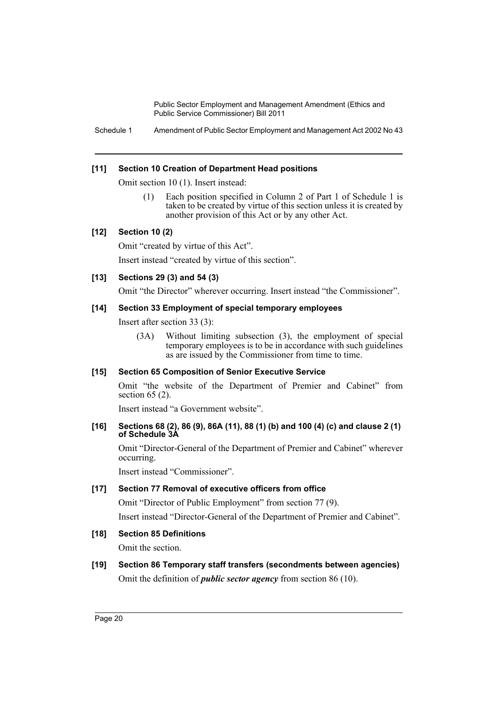Schedule 1 Amendment of Public Sector Employment and Management Act 2002 No 43

### **[11] Section 10 Creation of Department Head positions**

Omit section 10 (1). Insert instead:

(1) Each position specified in Column 2 of Part 1 of Schedule 1 is taken to be created by virtue of this section unless it is created by another provision of this Act or by any other Act.

### **[12] Section 10 (2)**

Omit "created by virtue of this Act".

Insert instead "created by virtue of this section".

### **[13] Sections 29 (3) and 54 (3)**

Omit "the Director" wherever occurring. Insert instead "the Commissioner".

### **[14] Section 33 Employment of special temporary employees**

Insert after section 33 (3):

(3A) Without limiting subsection (3), the employment of special temporary employees is to be in accordance with such guidelines as are issued by the Commissioner from time to time.

### **[15] Section 65 Composition of Senior Executive Service**

Omit "the website of the Department of Premier and Cabinet" from section 65 (2).

Insert instead "a Government website".

### **[16] Sections 68 (2), 86 (9), 86A (11), 88 (1) (b) and 100 (4) (c) and clause 2 (1) of Schedule 3A**

Omit "Director-General of the Department of Premier and Cabinet" wherever occurring.

Insert instead "Commissioner".

### **[17] Section 77 Removal of executive officers from office**

Omit "Director of Public Employment" from section 77 (9). Insert instead "Director-General of the Department of Premier and Cabinet".

### **[18] Section 85 Definitions**

Omit the section.

## **[19] Section 86 Temporary staff transfers (secondments between agencies)** Omit the definition of *public sector agency* from section 86 (10).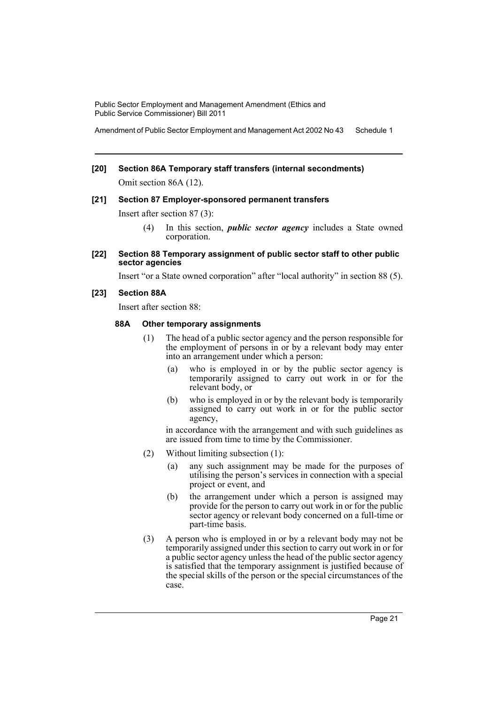Amendment of Public Sector Employment and Management Act 2002 No 43 Schedule 1

# **[20] Section 86A Temporary staff transfers (internal secondments)**

Omit section 86A (12).

### **[21] Section 87 Employer-sponsored permanent transfers**

Insert after section 87 (3):

- (4) In this section, *public sector agency* includes a State owned corporation.
- **[22] Section 88 Temporary assignment of public sector staff to other public sector agencies**

Insert "or a State owned corporation" after "local authority" in section 88 (5).

### **[23] Section 88A**

Insert after section 88:

### **88A Other temporary assignments**

- (1) The head of a public sector agency and the person responsible for the employment of persons in or by a relevant body may enter into an arrangement under which a person:
	- (a) who is employed in or by the public sector agency is temporarily assigned to carry out work in or for the relevant body, or
	- (b) who is employed in or by the relevant body is temporarily assigned to carry out work in or for the public sector agency,

in accordance with the arrangement and with such guidelines as are issued from time to time by the Commissioner.

- (2) Without limiting subsection (1):
	- (a) any such assignment may be made for the purposes of utilising the person's services in connection with a special project or event, and
	- (b) the arrangement under which a person is assigned may provide for the person to carry out work in or for the public sector agency or relevant body concerned on a full-time or part-time basis.
- (3) A person who is employed in or by a relevant body may not be temporarily assigned under this section to carry out work in or for a public sector agency unless the head of the public sector agency is satisfied that the temporary assignment is justified because of the special skills of the person or the special circumstances of the case.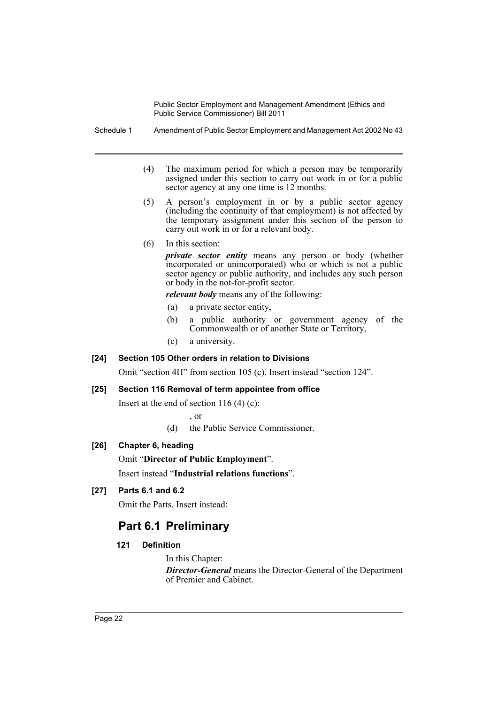Schedule 1 Amendment of Public Sector Employment and Management Act 2002 No 43

- (4) The maximum period for which a person may be temporarily assigned under this section to carry out work in or for a public sector agency at any one time is 12 months.
- (5) A person's employment in or by a public sector agency (including the continuity of that employment) is not affected by the temporary assignment under this section of the person to carry out work in or for a relevant body.
- (6) In this section:

*private sector entity* means any person or body (whether incorporated or unincorporated) who or which is not a public sector agency or public authority, and includes any such person or body in the not-for-profit sector.

*relevant body* means any of the following:

- (a) a private sector entity,
- (b) a public authority or government agency of the Commonwealth or of another State or Territory,
- (c) a university.

### **[24] Section 105 Other orders in relation to Divisions**

Omit "section 4H" from section 105 (c). Insert instead "section 124".

### **[25] Section 116 Removal of term appointee from office**

Insert at the end of section  $116(4)(c)$ :

, or

(d) the Public Service Commissioner.

### **[26] Chapter 6, heading**

Omit "**Director of Public Employment**".

Insert instead "**Industrial relations functions**".

### **[27] Parts 6.1 and 6.2**

Omit the Parts. Insert instead:

## **Part 6.1 Preliminary**

### **121 Definition**

In this Chapter:

*Director-General* means the Director-General of the Department of Premier and Cabinet.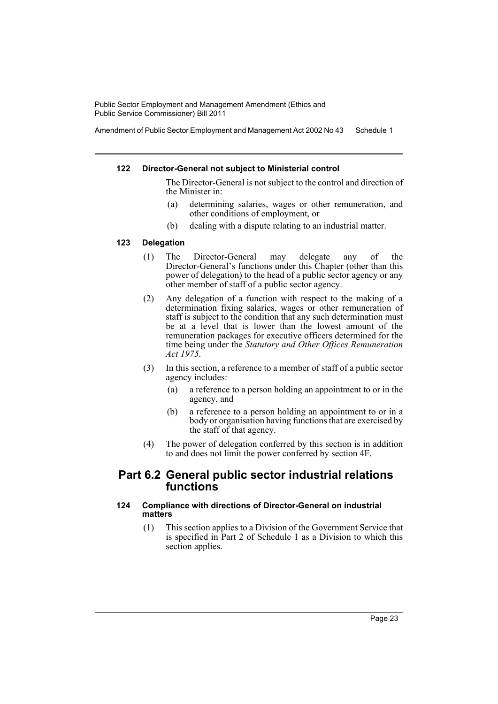Amendment of Public Sector Employment and Management Act 2002 No 43 Schedule 1

### **122 Director-General not subject to Ministerial control**

The Director-General is not subject to the control and direction of the Minister in:

- (a) determining salaries, wages or other remuneration, and other conditions of employment, or
- (b) dealing with a dispute relating to an industrial matter.

### **123 Delegation**

- (1) The Director-General may delegate any of the Director-General's functions under this Chapter (other than this power of delegation) to the head of a public sector agency or any other member of staff of a public sector agency.
- (2) Any delegation of a function with respect to the making of a determination fixing salaries, wages or other remuneration of staff is subject to the condition that any such determination must be at a level that is lower than the lowest amount of the remuneration packages for executive officers determined for the time being under the *Statutory and Other Offices Remuneration Act 1975*.
- (3) In this section, a reference to a member of staff of a public sector agency includes:
	- (a) a reference to a person holding an appointment to or in the agency, and
	- (b) a reference to a person holding an appointment to or in a body or organisation having functions that are exercised by the staff of that agency.
- (4) The power of delegation conferred by this section is in addition to and does not limit the power conferred by section 4F.

## **Part 6.2 General public sector industrial relations functions**

### **124 Compliance with directions of Director-General on industrial matters**

(1) This section applies to a Division of the Government Service that is specified in Part 2 of Schedule 1 as a Division to which this section applies.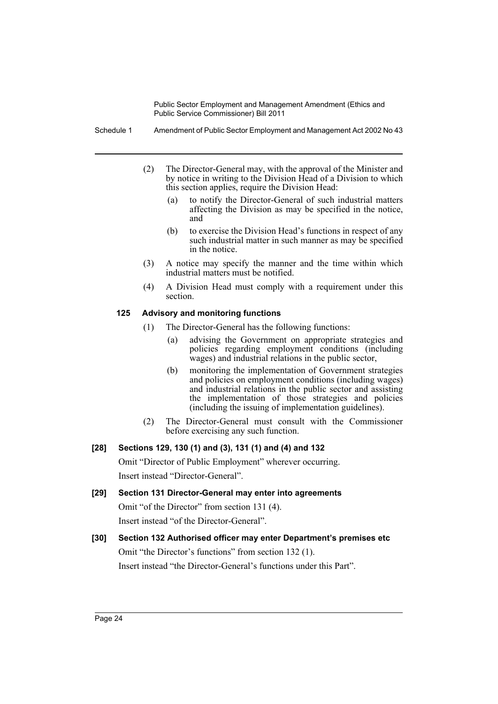Schedule 1 Amendment of Public Sector Employment and Management Act 2002 No 43

- (2) The Director-General may, with the approval of the Minister and by notice in writing to the Division Head of a Division to which this section applies, require the Division Head:
	- (a) to notify the Director-General of such industrial matters affecting the Division as may be specified in the notice, and
	- (b) to exercise the Division Head's functions in respect of any such industrial matter in such manner as may be specified in the notice.
- (3) A notice may specify the manner and the time within which industrial matters must be notified.
- (4) A Division Head must comply with a requirement under this section.

### **125 Advisory and monitoring functions**

- (1) The Director-General has the following functions:
	- (a) advising the Government on appropriate strategies and policies regarding employment conditions (including wages) and industrial relations in the public sector,
	- (b) monitoring the implementation of Government strategies and policies on employment conditions (including wages) and industrial relations in the public sector and assisting the implementation of those strategies and policies (including the issuing of implementation guidelines).
- (2) The Director-General must consult with the Commissioner before exercising any such function.

### **[28] Sections 129, 130 (1) and (3), 131 (1) and (4) and 132**

Omit "Director of Public Employment" wherever occurring. Insert instead "Director-General".

- **[29] Section 131 Director-General may enter into agreements** Omit "of the Director" from section 131 (4). Insert instead "of the Director-General".
- **[30] Section 132 Authorised officer may enter Department's premises etc** Omit "the Director's functions" from section 132 (1). Insert instead "the Director-General's functions under this Part".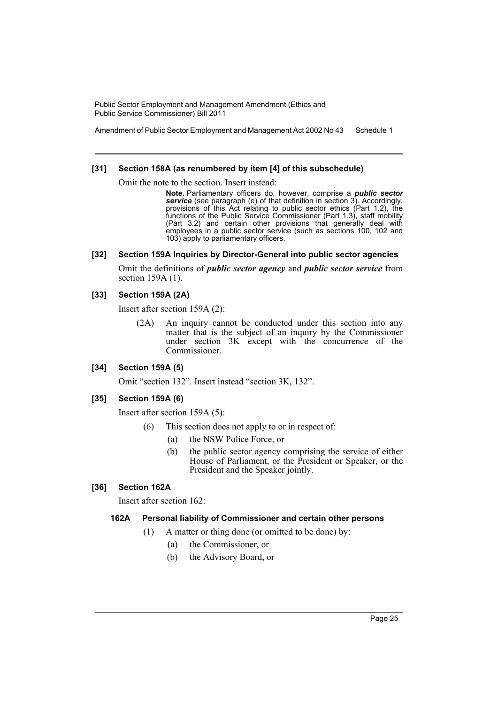Amendment of Public Sector Employment and Management Act 2002 No 43 Schedule 1

### **[31] Section 158A (as renumbered by item [4] of this subschedule)**

Omit the note to the section. Insert instead:

**Note.** Parliamentary officers do, however, comprise a *public sector service* (see paragraph (e) of that definition in section 3). Accordingly, provisions of this Act relating to public sector ethics (Part 1.2), the functions of the Public Service Commissioner (Part 1.3), staff mobility (Part 3.2) and certain other provisions that generally deal with employees in a public sector service (such as sections 100, 102 and 103) apply to parliamentary officers.

### **[32] Section 159A Inquiries by Director-General into public sector agencies**

Omit the definitions of *public sector agency* and *public sector service* from section 159A (1).

### **[33] Section 159A (2A)**

Insert after section 159A (2):

(2A) An inquiry cannot be conducted under this section into any matter that is the subject of an inquiry by the Commissioner under section 3K except with the concurrence of the Commissioner.

### **[34] Section 159A (5)**

Omit "section 132". Insert instead "section 3K, 132".

### **[35] Section 159A (6)**

Insert after section 159A (5):

- (6) This section does not apply to or in respect of:
	- (a) the NSW Police Force, or
	- (b) the public sector agency comprising the service of either House of Parliament, or the President or Speaker, or the President and the Speaker jointly.

### **[36] Section 162A**

Insert after section 162:

### **162A Personal liability of Commissioner and certain other persons**

- (1) A matter or thing done (or omitted to be done) by:
	- (a) the Commissioner, or
	- (b) the Advisory Board, or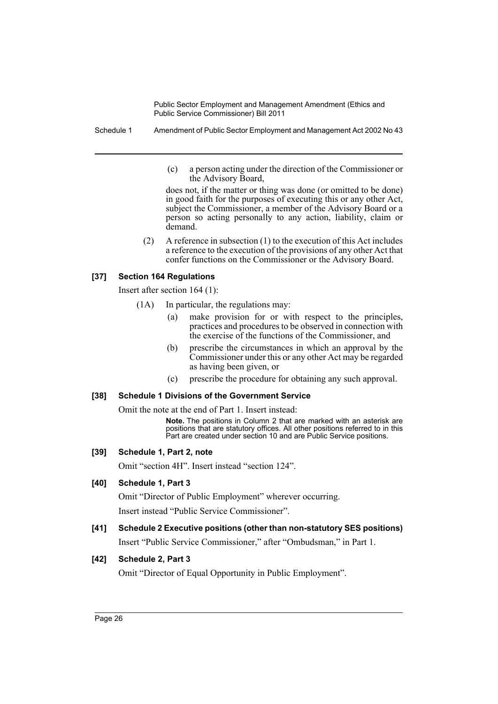Schedule 1 Amendment of Public Sector Employment and Management Act 2002 No 43

(c) a person acting under the direction of the Commissioner or the Advisory Board,

does not, if the matter or thing was done (or omitted to be done) in good faith for the purposes of executing this or any other Act, subject the Commissioner, a member of the Advisory Board or a person so acting personally to any action, liability, claim or demand.

(2) A reference in subsection (1) to the execution of this Act includes a reference to the execution of the provisions of any other Act that confer functions on the Commissioner or the Advisory Board.

### **[37] Section 164 Regulations**

Insert after section 164 (1):

- (1A) In particular, the regulations may:
	- (a) make provision for or with respect to the principles, practices and procedures to be observed in connection with the exercise of the functions of the Commissioner, and
	- (b) prescribe the circumstances in which an approval by the Commissioner under this or any other Act may be regarded as having been given, or
	- (c) prescribe the procedure for obtaining any such approval.

### **[38] Schedule 1 Divisions of the Government Service**

Omit the note at the end of Part 1. Insert instead:

**Note.** The positions in Column 2 that are marked with an asterisk are positions that are statutory offices. All other positions referred to in this Part are created under section 10 and are Public Service positions.

### **[39] Schedule 1, Part 2, note**

Omit "section 4H". Insert instead "section 124".

### **[40] Schedule 1, Part 3**

Omit "Director of Public Employment" wherever occurring.

Insert instead "Public Service Commissioner".

**[41] Schedule 2 Executive positions (other than non-statutory SES positions)** Insert "Public Service Commissioner," after "Ombudsman," in Part 1.

### **[42] Schedule 2, Part 3**

Omit "Director of Equal Opportunity in Public Employment".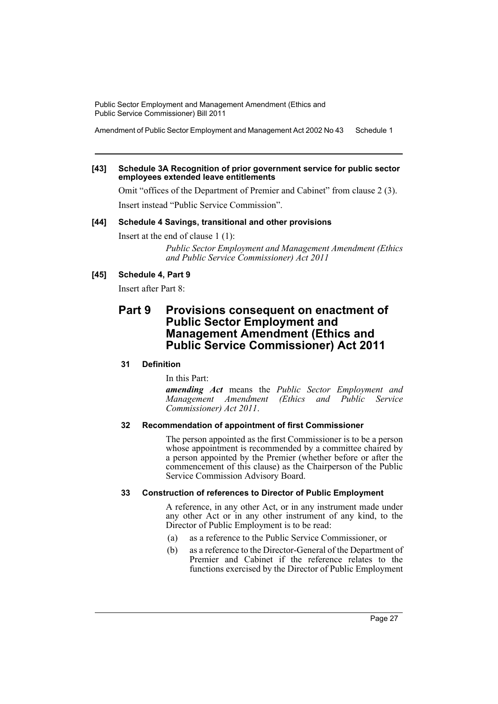Amendment of Public Sector Employment and Management Act 2002 No 43 Schedule 1

### **[43] Schedule 3A Recognition of prior government service for public sector employees extended leave entitlements**

Omit "offices of the Department of Premier and Cabinet" from clause 2 (3). Insert instead "Public Service Commission".

### **[44] Schedule 4 Savings, transitional and other provisions**

Insert at the end of clause 1 (1):

*Public Sector Employment and Management Amendment (Ethics and Public Service Commissioner) Act 2011*

### **[45] Schedule 4, Part 9**

Insert after Part 8:

## **Part 9 Provisions consequent on enactment of Public Sector Employment and Management Amendment (Ethics and Public Service Commissioner) Act 2011**

### **31 Definition**

In this Part:

*amending Act* means the *Public Sector Employment and Management Amendment (Ethics and Public Service Commissioner) Act 2011*.

### **32 Recommendation of appointment of first Commissioner**

The person appointed as the first Commissioner is to be a person whose appointment is recommended by a committee chaired by a person appointed by the Premier (whether before or after the commencement of this clause) as the Chairperson of the Public Service Commission Advisory Board.

### **33 Construction of references to Director of Public Employment**

A reference, in any other Act, or in any instrument made under any other Act or in any other instrument of any kind, to the Director of Public Employment is to be read:

- (a) as a reference to the Public Service Commissioner, or
- (b) as a reference to the Director-General of the Department of Premier and Cabinet if the reference relates to the functions exercised by the Director of Public Employment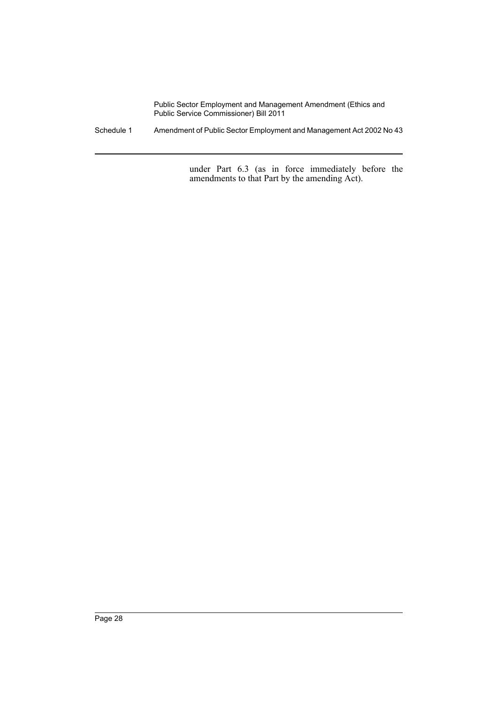Schedule 1 Amendment of Public Sector Employment and Management Act 2002 No 43

under Part 6.3 (as in force immediately before the amendments to that Part by the amending Act).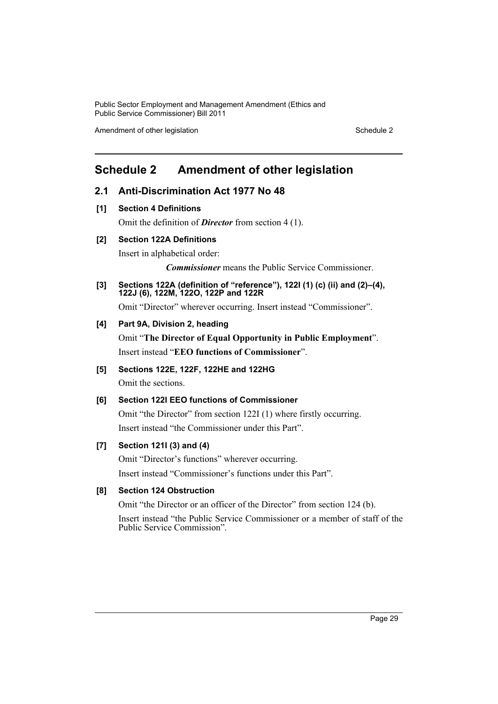Amendment of other legislation Schedule 2

## <span id="page-29-0"></span>**Schedule 2 Amendment of other legislation**

### **2.1 Anti-Discrimination Act 1977 No 48**

**[1] Section 4 Definitions**

Omit the definition of *Director* from section 4 (1).

### **[2] Section 122A Definitions**

Insert in alphabetical order:

*Commissioner* means the Public Service Commissioner.

**[3] Sections 122A (definition of "reference"), 122I (1) (c) (ii) and (2)–(4), 122J (6), 122M, 122O, 122P and 122R**

Omit "Director" wherever occurring. Insert instead "Commissioner".

### **[4] Part 9A, Division 2, heading**

Omit "**The Director of Equal Opportunity in Public Employment**". Insert instead "**EEO functions of Commissioner**".

**[5] Sections 122E, 122F, 122HE and 122HG** Omit the sections.

### **[6] Section 122I EEO functions of Commissioner**

Omit "the Director" from section 122I (1) where firstly occurring. Insert instead "the Commissioner under this Part".

### **[7] Section 121I (3) and (4)**

Omit "Director's functions" wherever occurring. Insert instead "Commissioner's functions under this Part".

### **[8] Section 124 Obstruction**

Omit "the Director or an officer of the Director" from section 124 (b).

Insert instead "the Public Service Commissioner or a member of staff of the Public Service Commission".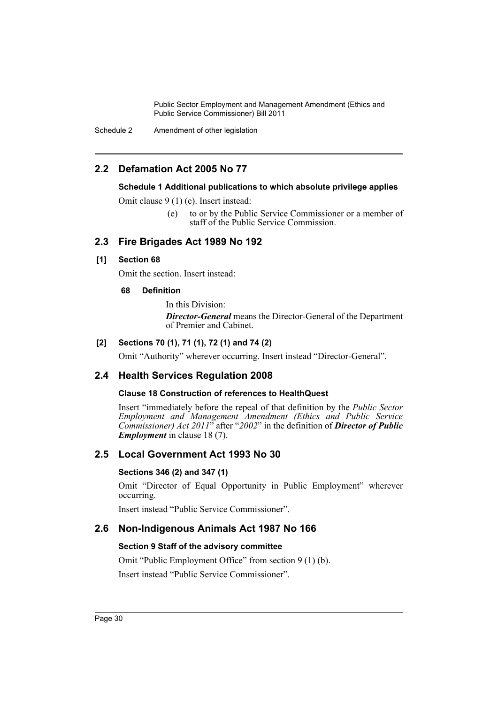Schedule 2 Amendment of other legislation

## **2.2 Defamation Act 2005 No 77**

### **Schedule 1 Additional publications to which absolute privilege applies**

Omit clause 9 (1) (e). Insert instead:

(e) to or by the Public Service Commissioner or a member of staff of the Public Service Commission.

## **2.3 Fire Brigades Act 1989 No 192**

### **[1] Section 68**

Omit the section. Insert instead:

### **68 Definition**

In this Division: *Director-General* means the Director-General of the Department of Premier and Cabinet.

### **[2] Sections 70 (1), 71 (1), 72 (1) and 74 (2)**

Omit "Authority" wherever occurring. Insert instead "Director-General".

## **2.4 Health Services Regulation 2008**

### **Clause 18 Construction of references to HealthQuest**

Insert "immediately before the repeal of that definition by the *Public Sector Employment and Management Amendment (Ethics and Public Service Commissioner) Act 2011*" after "*2002*" in the definition of *Director of Public Employment* in clause 18 (7).

## **2.5 Local Government Act 1993 No 30**

### **Sections 346 (2) and 347 (1)**

Omit "Director of Equal Opportunity in Public Employment" wherever occurring.

Insert instead "Public Service Commissioner".

### **2.6 Non-Indigenous Animals Act 1987 No 166**

### **Section 9 Staff of the advisory committee**

Omit "Public Employment Office" from section 9 (1) (b). Insert instead "Public Service Commissioner".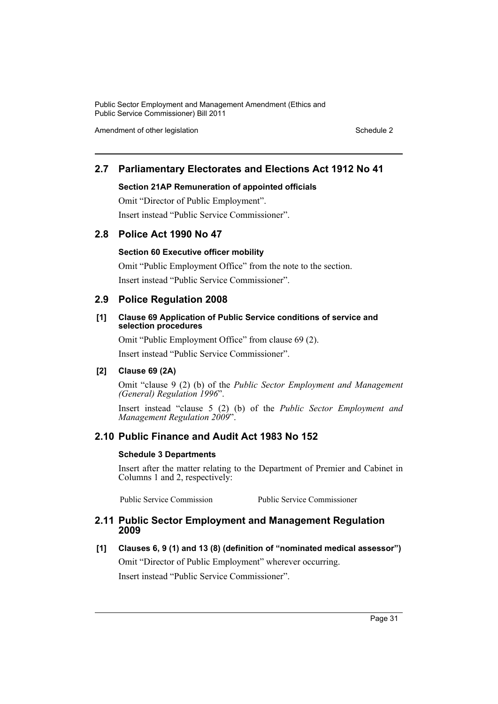Amendment of other legislation Schedule 2

## **2.7 Parliamentary Electorates and Elections Act 1912 No 41**

### **Section 21AP Remuneration of appointed officials**

Omit "Director of Public Employment". Insert instead "Public Service Commissioner".

## **2.8 Police Act 1990 No 47**

### **Section 60 Executive officer mobility**

Omit "Public Employment Office" from the note to the section. Insert instead "Public Service Commissioner".

### **2.9 Police Regulation 2008**

### **[1] Clause 69 Application of Public Service conditions of service and selection procedures**

Omit "Public Employment Office" from clause 69 (2). Insert instead "Public Service Commissioner".

### **[2] Clause 69 (2A)**

Omit "clause 9 (2) (b) of the *Public Sector Employment and Management (General) Regulation 1996*".

Insert instead "clause 5 (2) (b) of the *Public Sector Employment and Management Regulation 2009*".

## **2.10 Public Finance and Audit Act 1983 No 152**

### **Schedule 3 Departments**

Insert after the matter relating to the Department of Premier and Cabinet in Columns 1 and 2, respectively:

Public Service Commission Public Service Commissioner

### **2.11 Public Sector Employment and Management Regulation 2009**

**[1] Clauses 6, 9 (1) and 13 (8) (definition of "nominated medical assessor")** Omit "Director of Public Employment" wherever occurring.

Insert instead "Public Service Commissioner".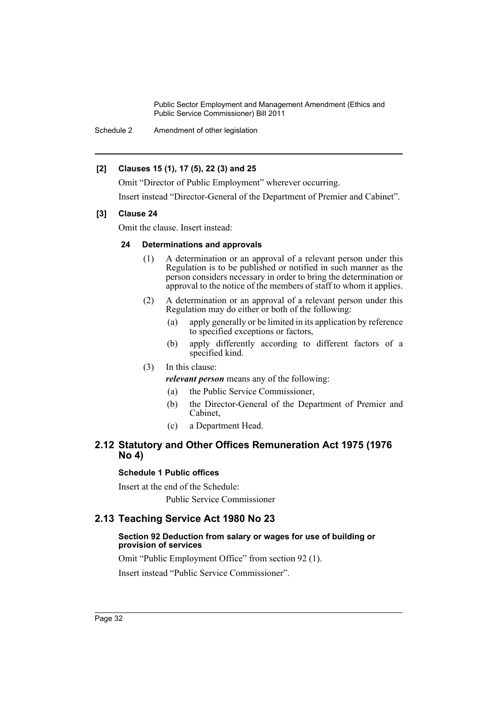Schedule 2 Amendment of other legislation

### **[2] Clauses 15 (1), 17 (5), 22 (3) and 25**

Omit "Director of Public Employment" wherever occurring.

Insert instead "Director-General of the Department of Premier and Cabinet".

### **[3] Clause 24**

Omit the clause. Insert instead:

### **24 Determinations and approvals**

- (1) A determination or an approval of a relevant person under this Regulation is to be published or notified in such manner as the person considers necessary in order to bring the determination or approval to the notice of the members of staff to whom it applies.
- (2) A determination or an approval of a relevant person under this Regulation may do either or both of the following:
	- (a) apply generally or be limited in its application by reference to specified exceptions or factors,
	- (b) apply differently according to different factors of a specified kind.

### (3) In this clause:

- *relevant person* means any of the following:
- (a) the Public Service Commissioner,
- (b) the Director-General of the Department of Premier and Cabinet,
- (c) a Department Head.

### **2.12 Statutory and Other Offices Remuneration Act 1975 (1976 No 4)**

### **Schedule 1 Public offices**

Insert at the end of the Schedule: Public Service Commissioner

## **2.13 Teaching Service Act 1980 No 23**

### **Section 92 Deduction from salary or wages for use of building or provision of services**

Omit "Public Employment Office" from section 92 (1).

Insert instead "Public Service Commissioner".